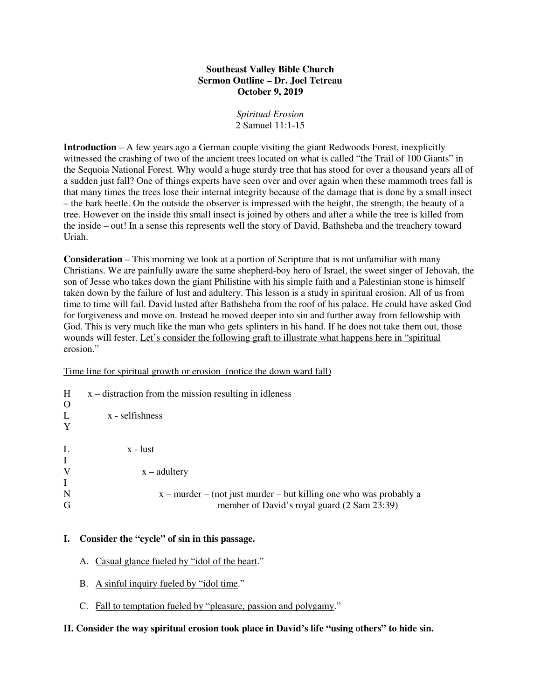## **Southeast Valley Bible Church Sermon Outline – Dr. Joel Tetreau October 9, 2019**

*Spiritual Erosion*  2 Samuel 11:1-15

**Introduction** – A few years ago a German couple visiting the giant Redwoods Forest, inexplicitly witnessed the crashing of two of the ancient trees located on what is called "the Trail of 100 Giants" in the Sequoia National Forest. Why would a huge sturdy tree that has stood for over a thousand years all of a sudden just fall? One of things experts have seen over and over again when these mammoth trees fall is that many times the trees lose their internal integrity because of the damage that is done by a small insect – the bark beetle. On the outside the observer is impressed with the height, the strength, the beauty of a tree. However on the inside this small insect is joined by others and after a while the tree is killed from the inside – out! In a sense this represents well the story of David, Bathsheba and the treachery toward Uriah.

**Consideration** – This morning we look at a portion of Scripture that is not unfamiliar with many Christians. We are painfully aware the same shepherd-boy hero of Israel, the sweet singer of Jehovah, the son of Jesse who takes down the giant Philistine with his simple faith and a Palestinian stone is himself taken down by the failure of lust and adultery. This lesson is a study in spiritual erosion. All of us from time to time will fail. David lusted after Bathsheba from the roof of his palace. He could have asked God for forgiveness and move on. Instead he moved deeper into sin and further away from fellowship with God. This is very much like the man who gets splinters in his hand. If he does not take them out, those wounds will fester. Let's consider the following graft to illustrate what happens here in "spiritual erosion."

Time line for spiritual growth or erosion\_(notice the down ward fall)

| H<br>$\Omega$    | $x -$ distraction from the mission resulting in idleness                                                            |
|------------------|---------------------------------------------------------------------------------------------------------------------|
| L<br>Y           | x - selfishness                                                                                                     |
| L<br>$\bf{I}$    | x - lust                                                                                                            |
| V<br>$\mathbf I$ | $x - add \$                                                                                                         |
| $\mathbf N$<br>G | $x$ – murder – (not just murder – but killing one who was probably a<br>member of David's royal guard (2 Sam 23:39) |

## **I. Consider the "cycle" of sin in this passage.**

- A. Casual glance fueled by "idol of the heart."
- B. A sinful inquiry fueled by "idol time."
- C. Fall to temptation fueled by "pleasure, passion and polygamy."

## **II. Consider the way spiritual erosion took place in David's life "using others" to hide sin.**